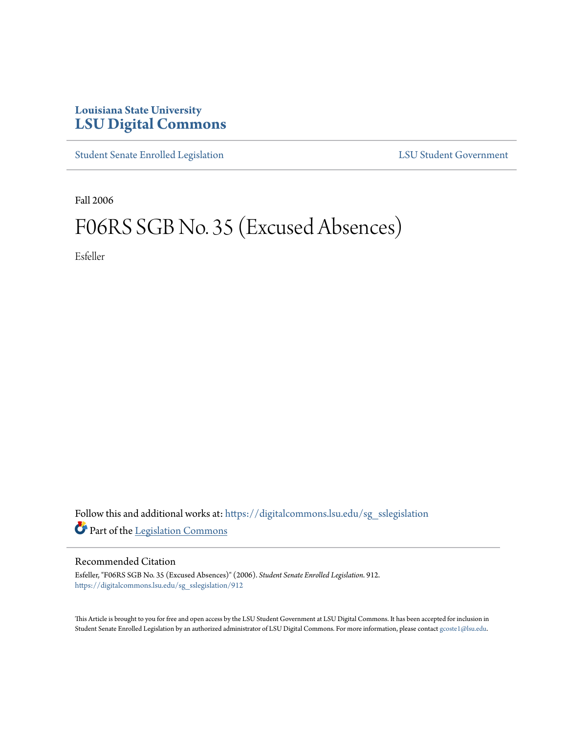## **Louisiana State University [LSU Digital Commons](https://digitalcommons.lsu.edu?utm_source=digitalcommons.lsu.edu%2Fsg_sslegislation%2F912&utm_medium=PDF&utm_campaign=PDFCoverPages)**

[Student Senate Enrolled Legislation](https://digitalcommons.lsu.edu/sg_sslegislation?utm_source=digitalcommons.lsu.edu%2Fsg_sslegislation%2F912&utm_medium=PDF&utm_campaign=PDFCoverPages) [LSU Student Government](https://digitalcommons.lsu.edu/sg?utm_source=digitalcommons.lsu.edu%2Fsg_sslegislation%2F912&utm_medium=PDF&utm_campaign=PDFCoverPages)

Fall 2006

## F06RS SGB No. 35 (Excused Absences)

Esfeller

Follow this and additional works at: [https://digitalcommons.lsu.edu/sg\\_sslegislation](https://digitalcommons.lsu.edu/sg_sslegislation?utm_source=digitalcommons.lsu.edu%2Fsg_sslegislation%2F912&utm_medium=PDF&utm_campaign=PDFCoverPages) Part of the [Legislation Commons](http://network.bepress.com/hgg/discipline/859?utm_source=digitalcommons.lsu.edu%2Fsg_sslegislation%2F912&utm_medium=PDF&utm_campaign=PDFCoverPages)

## Recommended Citation

Esfeller, "F06RS SGB No. 35 (Excused Absences)" (2006). *Student Senate Enrolled Legislation*. 912. [https://digitalcommons.lsu.edu/sg\\_sslegislation/912](https://digitalcommons.lsu.edu/sg_sslegislation/912?utm_source=digitalcommons.lsu.edu%2Fsg_sslegislation%2F912&utm_medium=PDF&utm_campaign=PDFCoverPages)

This Article is brought to you for free and open access by the LSU Student Government at LSU Digital Commons. It has been accepted for inclusion in Student Senate Enrolled Legislation by an authorized administrator of LSU Digital Commons. For more information, please contact [gcoste1@lsu.edu.](mailto:gcoste1@lsu.edu)